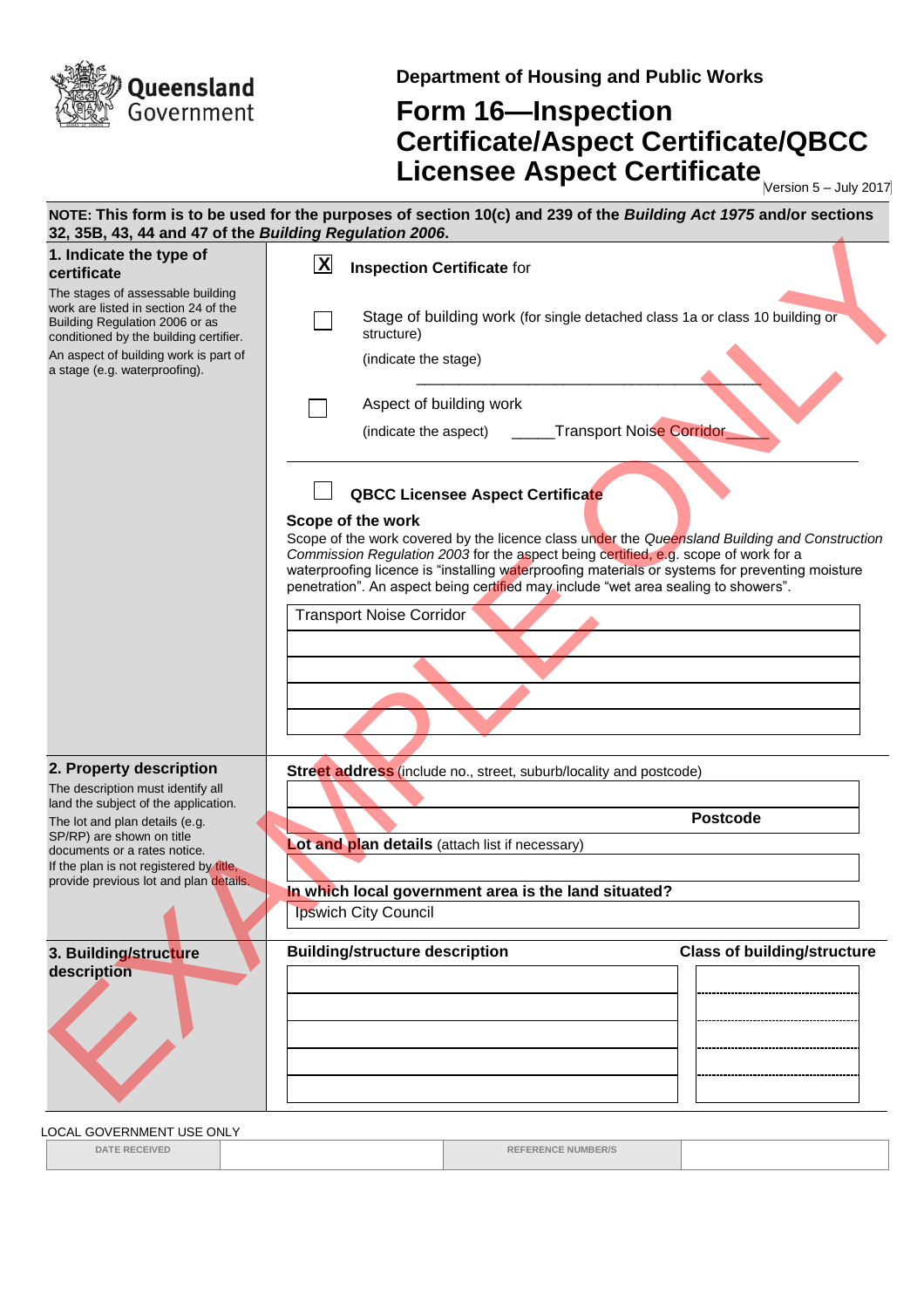

**Department of Housing and Public Works**

## **Form 16—Inspection Certificate/Aspect Certificate/QBCC Licensee Aspect Certificate** Mersion 5-July 2017

| 32, 35B, 43, 44 and 47 of the Building Regulation 2006.                                                                                               | NOTE: This form is to be used for the purposes of section 10(c) and 239 of the Building Act 1975 and/or sections                                                                                                                                                                                                                                                                                   |
|-------------------------------------------------------------------------------------------------------------------------------------------------------|----------------------------------------------------------------------------------------------------------------------------------------------------------------------------------------------------------------------------------------------------------------------------------------------------------------------------------------------------------------------------------------------------|
| 1. Indicate the type of<br>certificate                                                                                                                | $\mathbf{X}$<br><b>Inspection Certificate for</b>                                                                                                                                                                                                                                                                                                                                                  |
| The stages of assessable building<br>work are listed in section 24 of the<br>Building Regulation 2006 or as<br>conditioned by the building certifier. | Stage of building work (for single detached class 1a or class 10 building or<br>structure)                                                                                                                                                                                                                                                                                                         |
| An aspect of building work is part of<br>a stage (e.g. waterproofing).                                                                                | (indicate the stage)                                                                                                                                                                                                                                                                                                                                                                               |
|                                                                                                                                                       | Aspect of building work                                                                                                                                                                                                                                                                                                                                                                            |
|                                                                                                                                                       | Transport Noise Corridor<br>(indicate the aspect)                                                                                                                                                                                                                                                                                                                                                  |
|                                                                                                                                                       | <b>QBCC Licensee Aspect Certificate</b>                                                                                                                                                                                                                                                                                                                                                            |
|                                                                                                                                                       | Scope of the work<br>Scope of the work covered by the licence class under the Queensland Building and Construction<br>Commission Regulation 2003 for the aspect being certified, e.g. scope of work for a<br>waterproofing licence is "installing waterproofing materials or systems for preventing moisture<br>penetration". An aspect being certified may include "wet area sealing to showers". |
|                                                                                                                                                       | <b>Transport Noise Corridor</b>                                                                                                                                                                                                                                                                                                                                                                    |
|                                                                                                                                                       |                                                                                                                                                                                                                                                                                                                                                                                                    |
|                                                                                                                                                       |                                                                                                                                                                                                                                                                                                                                                                                                    |
|                                                                                                                                                       |                                                                                                                                                                                                                                                                                                                                                                                                    |
| 2. Property description                                                                                                                               | Street address (include no., street, suburb/locality and postcode)                                                                                                                                                                                                                                                                                                                                 |
| The description must identify all<br>land the subject of the application.                                                                             |                                                                                                                                                                                                                                                                                                                                                                                                    |
| The lot and plan details (e.g.<br>SP/RP) are shown on title                                                                                           | <b>Postcode</b>                                                                                                                                                                                                                                                                                                                                                                                    |
| documents or a rates notice.<br>If the plan is not registered by title,                                                                               | Lot and plan details (attach list if necessary)                                                                                                                                                                                                                                                                                                                                                    |
| provide previous lot and plan details.                                                                                                                | In which local government area is the land situated?                                                                                                                                                                                                                                                                                                                                               |
|                                                                                                                                                       | <b>Ipswich City Council</b>                                                                                                                                                                                                                                                                                                                                                                        |
| 3. Building/structure                                                                                                                                 | <b>Building/structure description</b><br><b>Class of building/structure</b>                                                                                                                                                                                                                                                                                                                        |
| description                                                                                                                                           |                                                                                                                                                                                                                                                                                                                                                                                                    |
|                                                                                                                                                       |                                                                                                                                                                                                                                                                                                                                                                                                    |
|                                                                                                                                                       |                                                                                                                                                                                                                                                                                                                                                                                                    |

LOCAL GOVERNMENT USE ONLY

**DATE RECEIVED REFERENCE NUMBER/S**